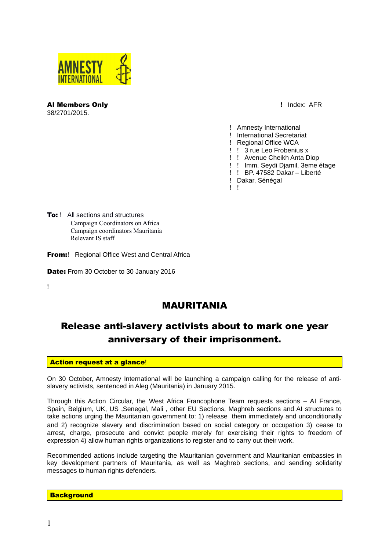

**AI Members Only and Solution Contract Contract Contract Contract Contract Contract Contract Contract Contract Contract Contract Contract Contract Contract Contract Contract Contract Contract Contract Contract Contract Con** 38/2701/2015.

- ! Amnesty International
- ! International Secretariat
- ! Regional Office WCA
- ! ! 3 rue Leo Frobenius x
- ! ! Avenue Cheikh Anta Diop
- ! ! Imm. Seydi Djamil, 3eme étage
- ! ! BP. 47582 Dakar Liberté
- ! Dakar, Sénégal
- $\mathbf{I}$

To: ! All sections and structures Campaign Coordinators on Africa Campaign coordinators Mauritania Relevant IS staff

**From:** Regional Office West and Central Africa

Date: From 30 October to 30 January 2016

 $\mathbf{I}$ 

## MAURITANIA

# Release anti-slavery activists about to mark one year anniversary of their imprisonment.

## **Action request at a glance!**

On 30 October, Amnesty International will be launching a campaign calling for the release of antislavery activists, sentenced in Aleg (Mauritania) in January 2015.

Through this Action Circular, the West Africa Francophone Team requests sections – AI France, Spain, Belgium, UK, US ,Senegal, Mali , other EU Sections, Maghreb sections and AI structures to take actions urging the Mauritanian government to: 1) release them immediately and unconditionally and 2) recognize slavery and discrimination based on social category or occupation 3) cease to arrest, charge, prosecute and convict people merely for exercising their rights to freedom of expression 4) allow human rights organizations to register and to carry out their work.

Recommended actions include targeting the Mauritanian government and Mauritanian embassies in key development partners of Mauritania, as well as Maghreb sections, and sending solidarity messages to human rights defenders.

#### **Background**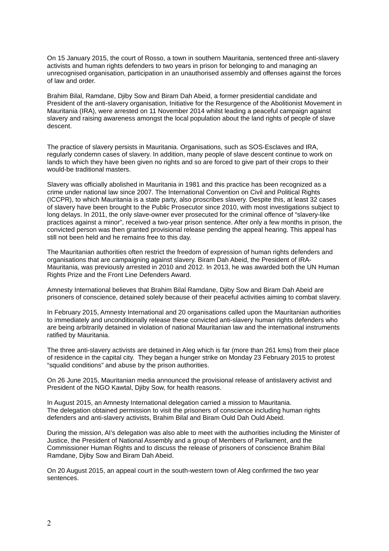On 15 January 2015, the court of Rosso, a town in southern Mauritania, sentenced three anti-slavery activists and human rights defenders to two years in prison for belonging to and managing an unrecognised organisation, participation in an unauthorised assembly and offenses against the forces of law and order.

Brahim Bilal, Ramdane, Djiby Sow and Biram Dah Abeid, a former presidential candidate and President of the anti-slavery organisation, Initiative for the Resurgence of the Abolitionist Movement in Mauritania (IRA), were arrested on 11 November 2014 whilst leading a peaceful campaign against slavery and raising awareness amongst the local population about the land rights of people of slave descent.

The practice of slavery persists in Mauritania. Organisations, such as SOS-Esclaves and IRA, regularly condemn cases of slavery. In addition, many people of slave descent continue to work on lands to which they have been given no rights and so are forced to give part of their crops to their would-be traditional masters.

Slavery was officially abolished in Mauritania in 1981 and this practice has been recognized as a crime under national law since 2007. The International Convention on Civil and Political Rights (ICCPR), to which Mauritania is a state party, also proscribes slavery. Despite this, at least 32 cases of slavery have been brought to the Public Prosecutor since 2010, with most investigations subject to long delays. In 2011, the only slave-owner ever prosecuted for the criminal offence of "slavery-like practices against a minor", received a two-year prison sentence. After only a few months in prison, the convicted person was then granted provisional release pending the appeal hearing. This appeal has still not been held and he remains free to this day.

The Mauritanian authorities often restrict the freedom of expression of human rights defenders and organisations that are campaigning against slavery. Biram Dah Abeid, the President of IRA-Mauritania, was previously arrested in 2010 and 2012. In 2013, he was awarded both the UN Human Rights Prize and the Front Line Defenders Award.

Amnesty International believes that Brahim Bilal Ramdane, Djiby Sow and Biram Dah Abeid are prisoners of conscience, detained solely because of their peaceful activities aiming to combat slavery.

In February 2015, Amnesty International and 20 organisations called upon the Mauritanian authorities to immediately and unconditionally release these convicted anti-slavery human rights defenders who are being arbitrarily detained in violation of national Mauritanian law and the international instruments ratified by Mauritania.

The three anti-slavery activists are detained in Aleg which is far (more than 261 kms) from their place of residence in the capital city. They began a hunger strike on Monday 23 February 2015 to protest "squalid conditions" and abuse by the prison authorities.

On 26 June 2015, Mauritanian media announced the provisional release of antislavery activist and President of the NGO Kawtal, Djiby Sow, for health reasons.

In August 2015, an Amnesty International delegation carried a mission to Mauritania. The delegation obtained permission to visit the prisoners of conscience including human rights defenders and anti-slavery activists, Brahim Bilal and Biram Ould Dah Ould Abeid.

During the mission, AI's delegation was also able to meet with the authorities including the Minister of Justice, the President of National Assembly and a group of Members of Parliament, and the Commissioner Human Rights and to discuss the release of prisoners of conscience Brahim Bilal Ramdane, Djiby Sow and Biram Dah Abeid.

On 20 August 2015, an appeal court in the south-western town of Aleg confirmed the two year sentences.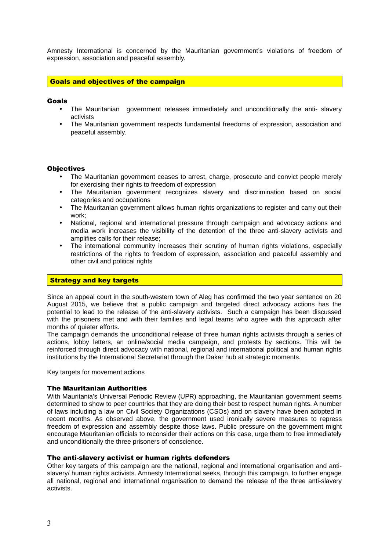Amnesty International is concerned by the Mauritanian government's violations of freedom of expression, association and peaceful assembly.

## Goals and objectives of the campaign

#### Goals

- The Mauritanian government releases immediately and unconditionally the anti- slavery activists
- The Mauritanian government respects fundamental freedoms of expression, association and peaceful assembly.

#### **Objectives**

- The Mauritanian government ceases to arrest, charge, prosecute and convict people merely for exercising their rights to freedom of expression
- The Mauritanian government recognizes slavery and discrimination based on social categories and occupations
- The Mauritanian government allows human rights organizations to register and carry out their work;
- National, regional and international pressure through campaign and advocacy actions and media work increases the visibility of the detention of the three anti-slavery activists and amplifies calls for their release;
- The international community increases their scrutiny of human rights violations, especially restrictions of the rights to freedom of expression, association and peaceful assembly and other civil and political rights

#### **Strategy and key targets**

Since an appeal court in the south-western town of Aleg has confirmed the two year sentence on 20 August 2015, we believe that a public campaign and targeted direct advocacy actions has the potential to lead to the release of the anti-slavery activists. Such a campaign has been discussed with the prisoners met and with their families and legal teams who agree with this approach after months of quieter efforts.

The campaign demands the unconditional release of three human rights activists through a series of actions, lobby letters, an online/social media campaign, and protests by sections. This will be reinforced through direct advocacy with national, regional and international political and human rights institutions by the International Secretariat through the Dakar hub at strategic moments.

#### Key targets for movement actions

#### The Mauritanian Authorities

With Mauritania's Universal Periodic Review (UPR) approaching, the Mauritanian government seems determined to show to peer countries that they are doing their best to respect human rights. A number of laws including a law on Civil Society Organizations (CSOs) and on slavery have been adopted in recent months. As observed above, the government used ironically severe measures to repress freedom of expression and assembly despite those laws. Public pressure on the government might encourage Mauritanian officials to reconsider their actions on this case, urge them to free immediately and unconditionally the three prisoners of conscience.

#### The anti-slavery activist or human rights defenders

Other key targets of this campaign are the national, regional and international organisation and antislavery/ human rights activists. Amnesty International seeks, through this campaign, to further engage all national, regional and international organisation to demand the release of the three anti-slavery activists.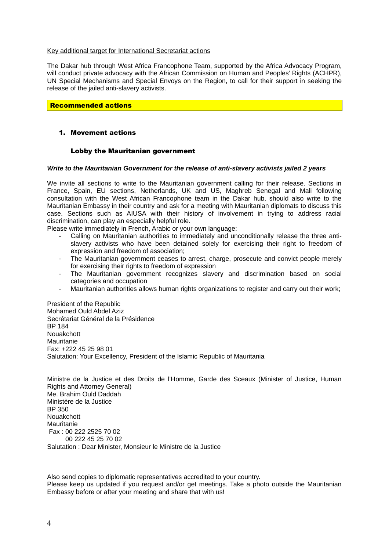#### Key additional target for International Secretariat actions

The Dakar hub through West Africa Francophone Team, supported by the Africa Advocacy Program, will conduct private advocacy with the African Commission on Human and Peoples' Rights (ACHPR), UN Special Mechanisms and Special Envoys on the Region, to call for their support in seeking the release of the jailed anti-slavery activists.

## Recommended actions

## 1. Movement actions

### Lobby the Mauritanian government

#### *Write to the Mauritanian Government for the release of anti-slavery activists jailed 2 years*

We invite all sections to write to the Mauritanian government calling for their release. Sections in France, Spain, EU sections, Netherlands, UK and US, Maghreb Senegal and Mali following consultation with the West African Francophone team in the Dakar hub, should also write to the Mauritanian Embassy in their country and ask for a meeting with Mauritanian diplomats to discuss this case. Sections such as AIUSA with their history of involvement in trying to address racial discrimination, can play an especially helpful role.

Please write immediately in French, Arabic or your own language:

- Calling on Mauritanian authorities to immediately and unconditionally release the three antislavery activists who have been detained solely for exercising their right to freedom of expression and freedom of association;
- The Mauritanian government ceases to arrest, charge, prosecute and convict people merely for exercising their rights to freedom of expression
- The Mauritanian government recognizes slavery and discrimination based on social categories and occupation
- Mauritanian authorities allows human rights organizations to register and carry out their work;

President of the Republic Mohamed Ould Abdel Aziz Secrétariat Général de la Présidence BP 184 Nouakchott Mauritanie Fax: +222 45 25 98 01 Salutation: Your Excellency, President of the Islamic Republic of Mauritania

Ministre de la Justice et des Droits de l'Homme, Garde des Sceaux (Minister of Justice, Human Rights and Attorney General) Me. Brahim Ould Daddah Ministère de la Justice BP 350 Nouakchott Mauritanie Fax : 00 222 2525 70 02 00 222 45 25 70 02 Salutation : Dear Minister, Monsieur le Ministre de la Justice

Also send copies to diplomatic representatives accredited to your country. Please keep us updated if you request and/or get meetings. Take a photo outside the Mauritanian Embassy before or after your meeting and share that with us!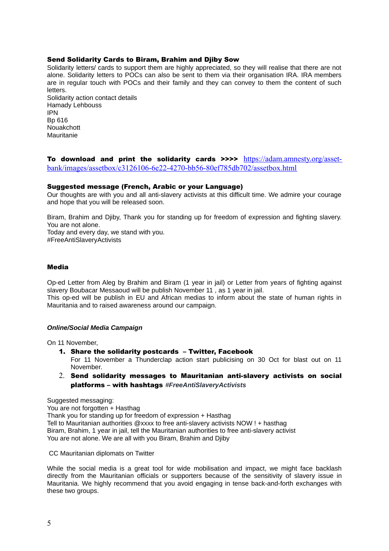### Send Solidarity Cards to Biram, Brahim and Djiby Sow

Solidarity letters/ cards to support them are highly appreciated, so they will realise that there are not alone. Solidarity letters to POCs can also be sent to them via their organisation IRA. IRA members are in regular touch with POCs and their family and they can convey to them the content of such **letters** 

Solidarity action contact details Hamady Lehbouss IPN Bp 616 Nouakchott Mauritanie

To download and print the solidarity cards  $\text{p} \geq \text{p} \geq \text{https}$ ://adam.amnesty.org/asset[bank/images/assetbox/c3126106-6e22-4270-bb56-80ef785db702/assetbox.html](https://adam.amnesty.org/asset-bank/images/assetbox/c3126106-6e22-4270-bb56-80ef785db702/assetbox.html)

#### Suggested message (French, Arabic or your Language)

Our thoughts are with you and all anti-slavery activists at this difficult time. We admire your courage and hope that you will be released soon.

Biram, Brahim and Djiby, Thank you for standing up for freedom of expression and fighting slavery. You are not alone.

Today and every day, we stand with you. #FreeAntiSlaveryActivists

#### Media

Op-ed Letter from Aleg by Brahim and Biram (1 year in jail) or Letter from years of fighting against slavery Boubacar Messaoud will be publish November 11 , as 1 year in jail. This op-ed will be publish in EU and African medias to inform about the state of human rights in Mauritania and to raised awareness around our campaign.

#### *Online/Social Media Campaign*

On 11 November,

1. Share the solidarity postcards – Twitter, Facebook

For 11 November a Thunderclap action start publicising on 30 Oct for blast out on 11 November.

2. Send solidarity messages to Mauritanian anti-slavery activists on social platforms – with hashtags *#FreeAntiSlaveryActivists*

Suggested messaging: You are not forgotten + Hasthag Thank you for standing up for freedom of expression + Hasthag Tell to Mauritanian authorities @xxxx to free anti-slavery activists NOW ! + hasthag Biram, Brahim, 1 year in jail, tell the Mauritanian authorities to free anti-slavery activist You are not alone. We are all with you Biram, Brahim and Djiby

CC Mauritanian diplomats on Twitter

While the social media is a great tool for wide mobilisation and impact, we might face backlash directly from the Mauritanian officials or supporters because of the sensitivity of slavery issue in Mauritania. We highly recommend that you avoid engaging in tense back-and-forth exchanges with these two groups.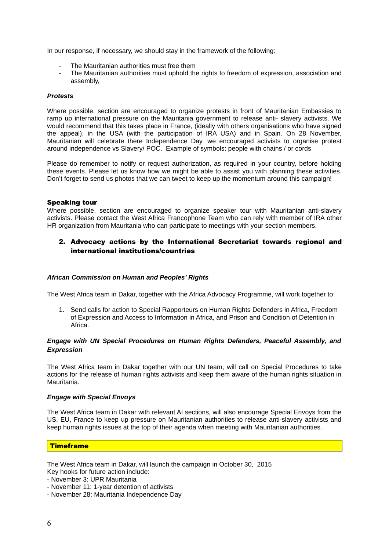In our response, if necessary, we should stay in the framework of the following:

- The Mauritanian authorities must free them
- The Mauritanian authorities must uphold the rights to freedom of expression, association and assembly,

### *Protests*

Where possible, section are encouraged to organize protests in front of Mauritanian Embassies to ramp up international pressure on the Mauritania government to release anti- slavery activists. We would recommend that this takes place in France, (ideally with others organisations who have signed the appeal), in the USA (with the participation of IRA USA) and in Spain. On 28 November, Mauritanian will celebrate there Independence Day, we encouraged activists to organise protest around independence vs Slavery/ POC. Example of symbols: people with chains / or cords

Please do remember to notify or request authorization, as required in your country, before holding these events. Please let us know how we might be able to assist you with planning these activities. Don't forget to send us photos that we can tweet to keep up the momentum around this campaign!

### Speaking tour

Where possible, section are encouraged to organize speaker tour with Mauritanian anti-slavery activists. Please contact the West Africa Francophone Team who can rely with member of IRA other HR organization from Mauritania who can participate to meetings with your section members.

## 2. Advocacy actions by the International Secretariat towards regional and international institutions/countries

#### *African Commission on Human and Peoples' Rights*

The West Africa team in Dakar, together with the Africa Advocacy Programme, will work together to:

1. Send calls for action to Special Rapporteurs on Human Rights Defenders in Africa, Freedom of Expression and Access to Information in Africa, and Prison and Condition of Detention in Africa.

### *Engage with UN Special Procedures on Human Rights Defenders, Peaceful Assembly, and Expression*

The West Africa team in Dakar together with our UN team, will call on Special Procedures to take actions for the release of human rights activists and keep them aware of the human rights situation in Mauritania.

#### *Engage with Special Envoys*

The West Africa team in Dakar with relevant AI sections, will also encourage Special Envoys from the US, EU, France to keep up pressure on Mauritanian authorities to release anti-slavery activists and keep human rights issues at the top of their agenda when meeting with Mauritanian authorities.

## **Timeframe**

The West Africa team in Dakar, will launch the campaign in October 30, 2015

Key hooks for future action include:

- November 3: UPR Mauritania
- November 11: 1-year detention of activists
- November 28: Mauritania Independence Day